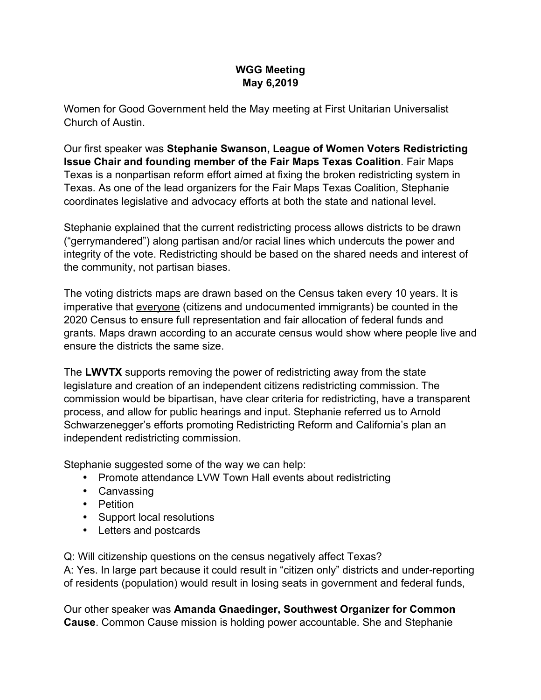## **WGG Meeting May 6,2019**

Women for Good Government held the May meeting at First Unitarian Universalist Church of Austin.

Our first speaker was **Stephanie Swanson, League of Women Voters Redistricting Issue Chair and founding member of the Fair Maps Texas Coalition**. Fair Maps Texas is a nonpartisan reform effort aimed at fixing the broken redistricting system in Texas. As one of the lead organizers for the Fair Maps Texas Coalition, Stephanie coordinates legislative and advocacy efforts at both the state and national level.

Stephanie explained that the current redistricting process allows districts to be drawn ("gerrymandered") along partisan and/or racial lines which undercuts the power and integrity of the vote. Redistricting should be based on the shared needs and interest of the community, not partisan biases.

The voting districts maps are drawn based on the Census taken every 10 years. It is imperative that everyone (citizens and undocumented immigrants) be counted in the 2020 Census to ensure full representation and fair allocation of federal funds and grants. Maps drawn according to an accurate census would show where people live and ensure the districts the same size.

The **LWVTX** supports removing the power of redistricting away from the state legislature and creation of an independent citizens redistricting commission. The commission would be bipartisan, have clear criteria for redistricting, have a transparent process, and allow for public hearings and input. Stephanie referred us to Arnold Schwarzenegger's efforts promoting Redistricting Reform and California's plan an independent redistricting commission.

Stephanie suggested some of the way we can help:

- Promote attendance LVW Town Hall events about redistricting
- Canvassing
- Petition
- Support local resolutions
- Letters and postcards

Q: Will citizenship questions on the census negatively affect Texas? A: Yes. In large part because it could result in "citizen only" districts and under-reporting of residents (population) would result in losing seats in government and federal funds,

Our other speaker was **Amanda Gnaedinger, Southwest Organizer for Common Cause**. Common Cause mission is holding power accountable. She and Stephanie